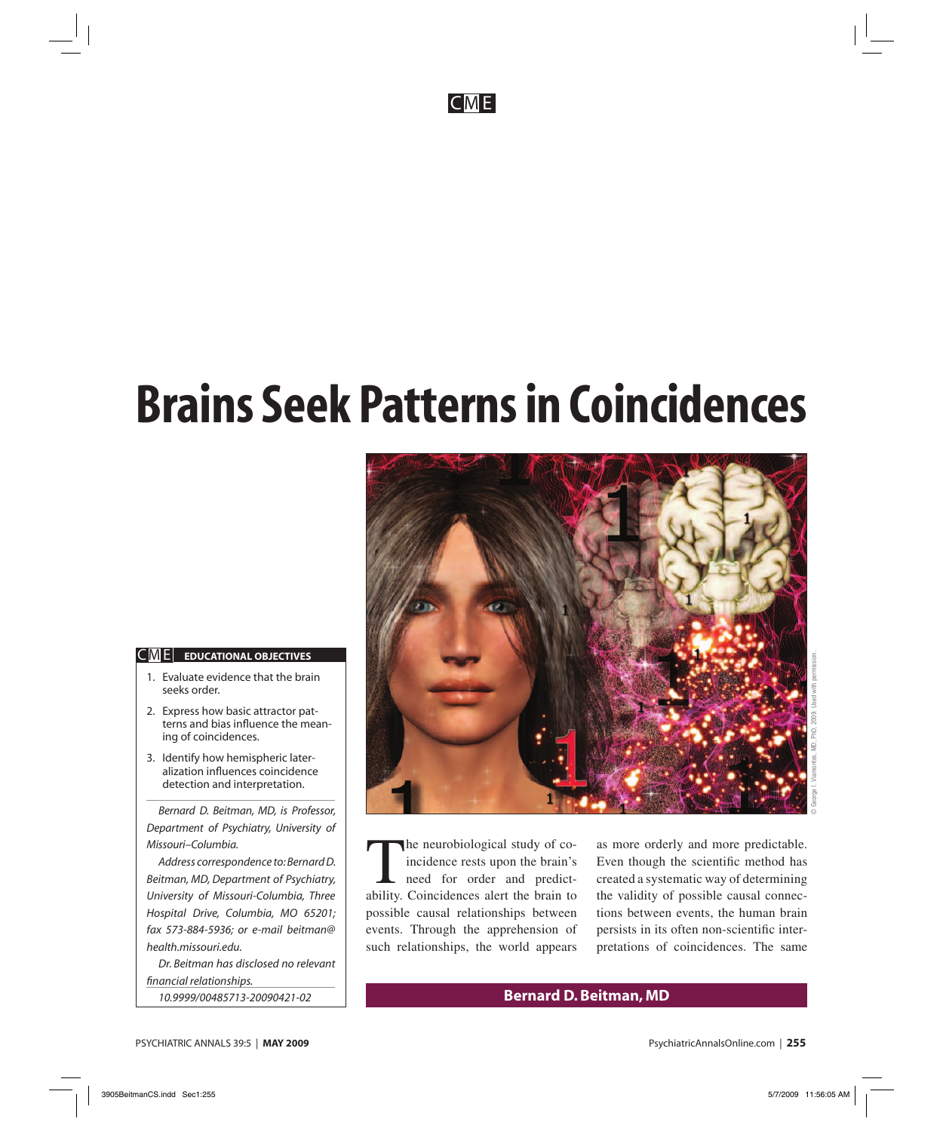CM E

# **Brains Seek Patterns in Coincidences**

#### $|C|$  **EDUCATIONAL OBJECTIVES**

- 1. Evaluate evidence that the brain seeks order.
- 2. Express how basic attractor patterns and bias influence the meaning of coincidences.
- 3. Identify how hemispheric lateralization influences coincidence detection and interpretation.

*Bernard D. Beitman, MD, is Professor, Department of Psychiatry, University of Missouri–Columbia.*

*Address correspondence to: Bernard D. Beitman, MD, Department of Psychiatry, University of Missouri-Columbia, Three Hospital Drive, Columbia, MO 65201; fax 573-884-5936; or e-mail beitman@ health.missouri.edu.*

*Dr. Beitman has disclosed no relevant fi nancial relationships. 10.9999/00485713-20090421-02*



The neurobiological study of coincidence rests upon the brain's need for order and predictability. Coincidences alert the brain to possible causal relationships between events. Through the apprehension of such relationships, the world appears

as more orderly and more predictable. Even though the scientific method has created a systematic way of determining the validity of possible causal connections between events, the human brain persists in its often non-scientific interpretations of coincidences. The same

# **Bernard D. Beitman, MD**

PSYCHIATRIC ANNALS 39:5 | **MAY 2009** PsychiatricAnnalsOnline.com | **255**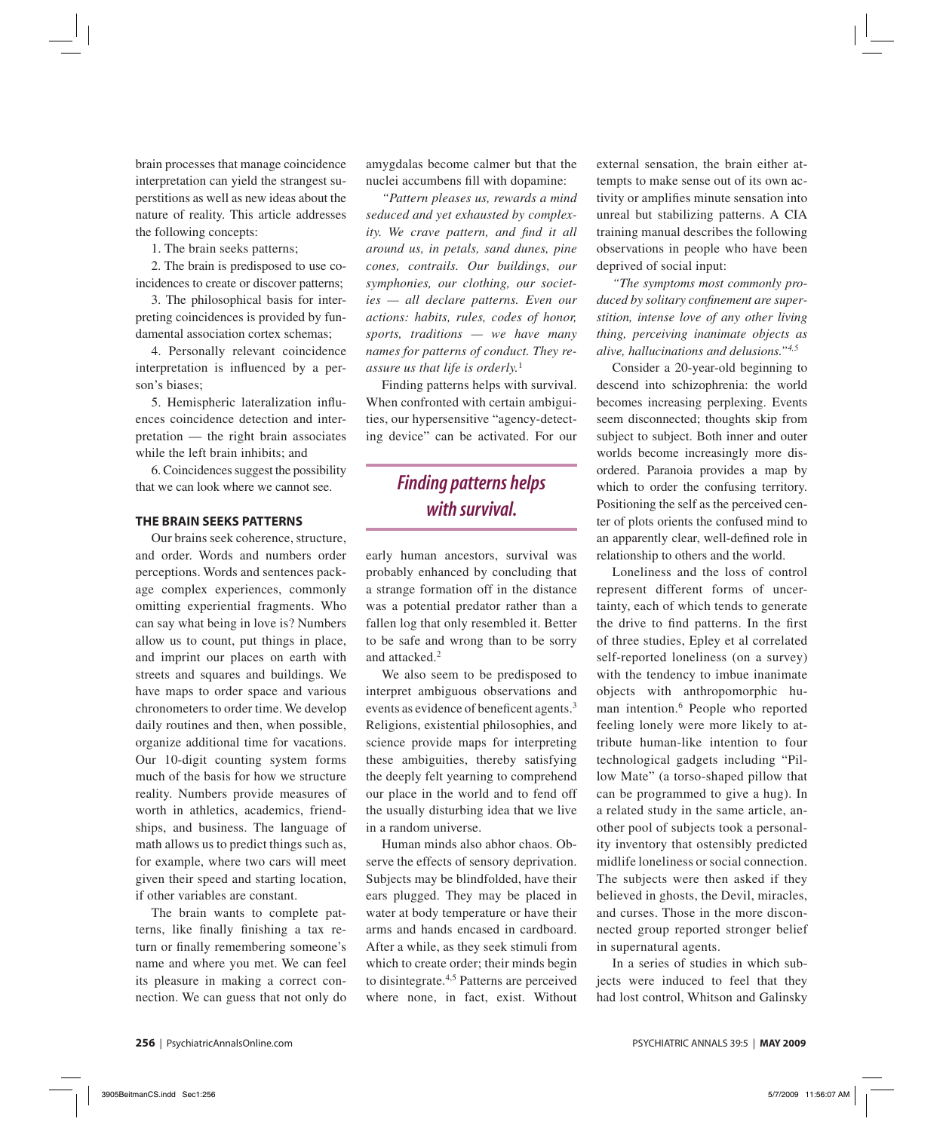brain processes that manage coincidence interpretation can yield the strangest superstitions as well as new ideas about the nature of reality. This article addresses the following concepts:

1. The brain seeks patterns;

2. The brain is predisposed to use coincidences to create or discover patterns;

3. The philosophical basis for interpreting coincidences is provided by fundamental association cortex schemas;

4. Personally relevant coincidence interpretation is influenced by a person's biases;

5. Hemispheric lateralization influences coincidence detection and interpretation — the right brain associates while the left brain inhibits; and

6. Coincidences suggest the possibility that we can look where we cannot see.

#### **THE BRAIN SEEKS PATTERNS**

Our brains seek coherence, structure, and order. Words and numbers order perceptions. Words and sentences package complex experiences, commonly omitting experiential fragments. Who can say what being in love is? Numbers allow us to count, put things in place, and imprint our places on earth with streets and squares and buildings. We have maps to order space and various chronometers to order time. We develop daily routines and then, when possible, organize additional time for vacations. Our 10-digit counting system forms much of the basis for how we structure reality. Numbers provide measures of worth in athletics, academics, friendships, and business. The language of math allows us to predict things such as, for example, where two cars will meet given their speed and starting location, if other variables are constant.

The brain wants to complete patterns, like finally finishing a tax return or finally remembering someone's name and where you met. We can feel its pleasure in making a correct connection. We can guess that not only do

amygdalas become calmer but that the nuclei accumbens fill with dopamine:

*"Pattern pleases us, rewards a mind seduced and yet exhausted by complexity.* We crave pattern, and find it all *around us, in petals, sand dunes, pine cones, contrails. Our buildings, our symphonies, our clothing, our societies — all declare patterns. Even our actions: habits, rules, codes of honor, sports, traditions — we have many names for patterns of conduct. They reassure us that life is orderly.*<sup>1</sup>

Finding patterns helps with survival. When confronted with certain ambiguities, our hypersensitive "agency-detecting device" can be activated. For our

# *Finding patterns helps with survival.*

early human ancestors, survival was probably enhanced by concluding that a strange formation off in the distance was a potential predator rather than a fallen log that only resembled it. Better to be safe and wrong than to be sorry and attacked.2

We also seem to be predisposed to interpret ambiguous observations and events as evidence of beneficent agents.<sup>3</sup> Religions, existential philosophies, and science provide maps for interpreting these ambiguities, thereby satisfying the deeply felt yearning to comprehend our place in the world and to fend off the usually disturbing idea that we live in a random universe.

Human minds also abhor chaos. Observe the effects of sensory deprivation. Subjects may be blindfolded, have their ears plugged. They may be placed in water at body temperature or have their arms and hands encased in cardboard. After a while, as they seek stimuli from which to create order; their minds begin to disintegrate.4,5 Patterns are perceived where none, in fact, exist. Without external sensation, the brain either attempts to make sense out of its own activity or amplifies minute sensation into unreal but stabilizing patterns. A CIA training manual describes the following observations in people who have been deprived of social input:

*"The symptoms most commonly pro*duced by solitary confinement are super*stition, intense love of any other living thing, perceiving inanimate objects as alive, hallucinations and delusions."4,5*

Consider a 20-year-old beginning to descend into schizophrenia: the world becomes increasing perplexing. Events seem disconnected; thoughts skip from subject to subject. Both inner and outer worlds become increasingly more disordered. Paranoia provides a map by which to order the confusing territory. Positioning the self as the perceived center of plots orients the confused mind to an apparently clear, well-defined role in relationship to others and the world.

Loneliness and the loss of control represent different forms of uncertainty, each of which tends to generate the drive to find patterns. In the first of three studies, Epley et al correlated self-reported loneliness (on a survey) with the tendency to imbue inanimate objects with anthropomorphic human intention.<sup>6</sup> People who reported feeling lonely were more likely to attribute human-like intention to four technological gadgets including "Pillow Mate" (a torso-shaped pillow that can be programmed to give a hug). In a related study in the same article, another pool of subjects took a personality inventory that ostensibly predicted midlife loneliness or social connection. The subjects were then asked if they believed in ghosts, the Devil, miracles, and curses. Those in the more disconnected group reported stronger belief in supernatural agents.

In a series of studies in which subjects were induced to feel that they had lost control, Whitson and Galinsky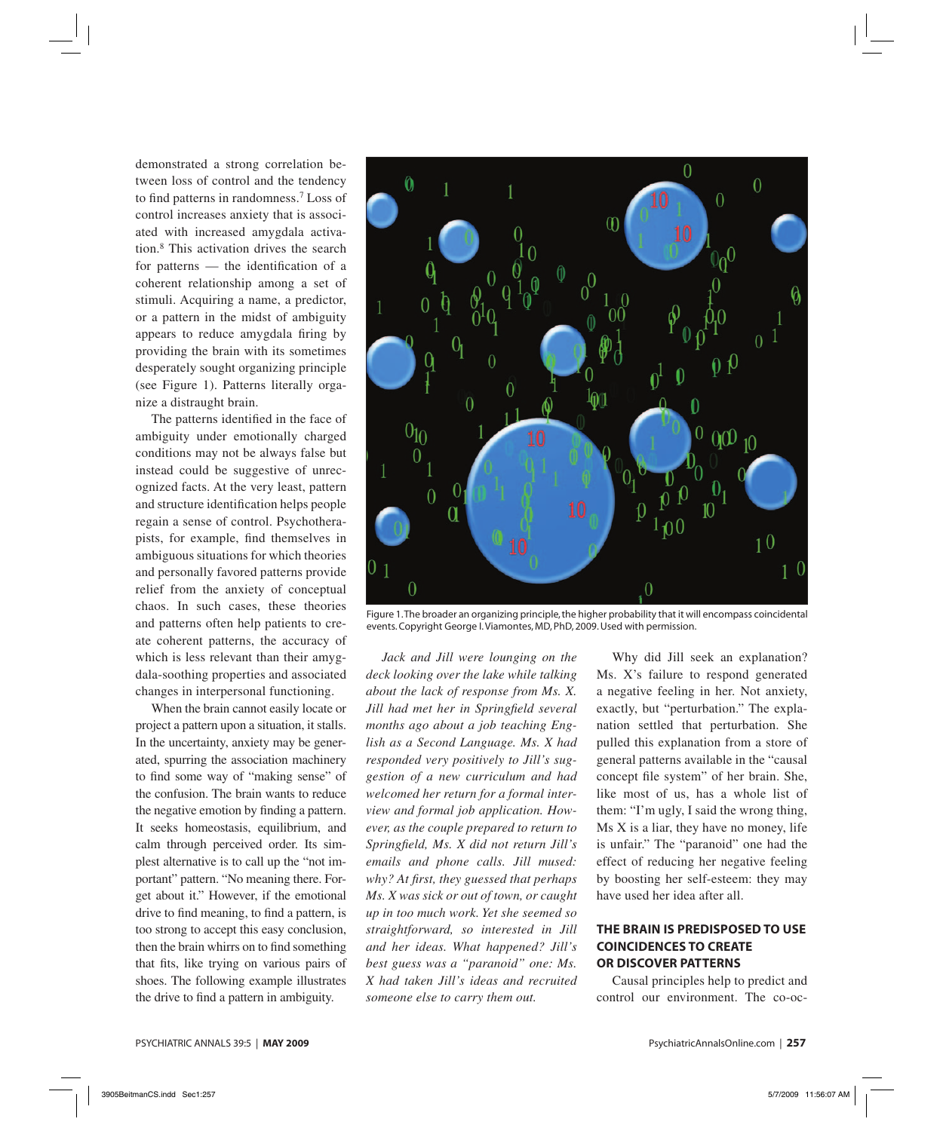demonstrated a strong correlation between loss of control and the tendency to find patterns in randomness.<sup>7</sup> Loss of control increases anxiety that is associated with increased amygdala activation.8 This activation drives the search for patterns  $-$  the identification of a coherent relationship among a set of stimuli. Acquiring a name, a predictor, or a pattern in the midst of ambiguity appears to reduce amygdala firing by providing the brain with its sometimes desperately sought organizing principle (see Figure 1). Patterns literally organize a distraught brain.

The patterns identified in the face of ambiguity under emotionally charged conditions may not be always false but instead could be suggestive of unrecognized facts. At the very least, pattern and structure identification helps people regain a sense of control. Psychotherapists, for example, find themselves in ambiguous situations for which theories and personally favored patterns provide relief from the anxiety of conceptual chaos. In such cases, these theories and patterns often help patients to create coherent patterns, the accuracy of which is less relevant than their amygdala-soothing properties and associated changes in interpersonal functioning.

When the brain cannot easily locate or project a pattern upon a situation, it stalls. In the uncertainty, anxiety may be generated, spurring the association machinery to find some way of "making sense" of the confusion. The brain wants to reduce the negative emotion by finding a pattern. It seeks homeostasis, equilibrium, and calm through perceived order. Its simplest alternative is to call up the "not important" pattern. "No meaning there. Forget about it." However, if the emotional drive to find meaning, to find a pattern, is too strong to accept this easy conclusion, then the brain whirrs on to find something that fits, like trying on various pairs of shoes. The following example illustrates the drive to find a pattern in ambiguity.



Figure 1. The broader an organizing principle, the higher probability that it will encompass coincidental events. Copyright George I. Viamontes, MD, PhD, 2009. Used with permission.

*Jack and Jill were lounging on the deck looking over the lake while talking about the lack of response from Ms. X. Jill had met her in Springfield several months ago about a job teaching English as a Second Language. Ms. X had responded very positively to Jill's suggestion of a new curriculum and had welcomed her return for a formal interview and formal job application. However, as the couple prepared to return to Springfi eld, Ms. X did not return Jill's emails and phone calls. Jill mused: why? At first, they guessed that perhaps Ms. X was sick or out of town, or caught up in too much work. Yet she seemed so straightforward, so interested in Jill and her ideas. What happened? Jill's best guess was a "paranoid" one: Ms. X had taken Jill's ideas and recruited someone else to carry them out.*

Why did Jill seek an explanation? Ms. X's failure to respond generated a negative feeling in her. Not anxiety, exactly, but "perturbation." The explanation settled that perturbation. She pulled this explanation from a store of general patterns available in the "causal concept file system" of her brain. She, like most of us, has a whole list of them: "I'm ugly, I said the wrong thing, Ms X is a liar, they have no money, life is unfair." The "paranoid" one had the effect of reducing her negative feeling by boosting her self-esteem: they may have used her idea after all.

## **THE BRAIN IS PREDISPOSED TO USE COINCIDENCES TO CREATE OR DISCOVER PATTERNS**

Causal principles help to predict and control our environment. The co-oc-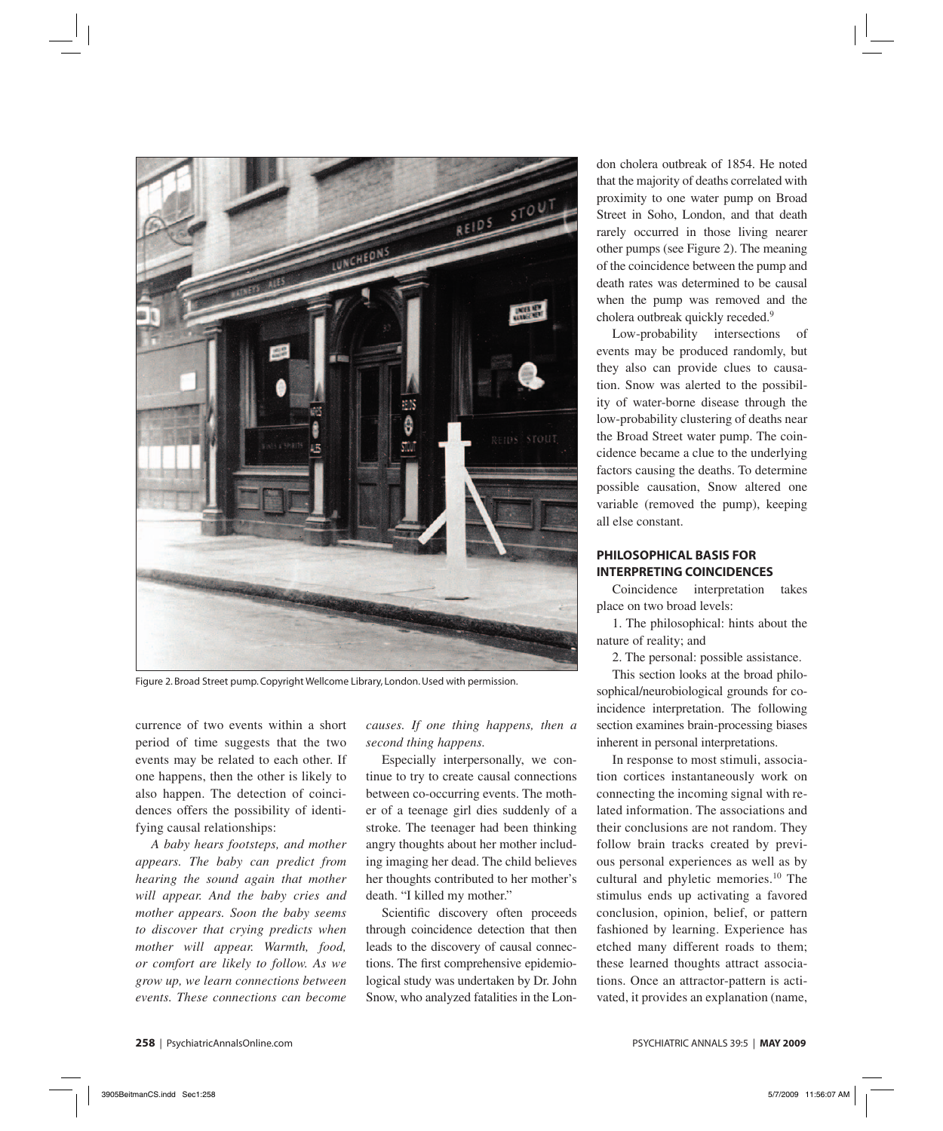

Figure 2. Broad Street pump. Copyright Wellcome Library, London. Used with permission.

currence of two events within a short period of time suggests that the two events may be related to each other. If one happens, then the other is likely to also happen. The detection of coincidences offers the possibility of identifying causal relationships:

*A baby hears footsteps, and mother appears. The baby can predict from hearing the sound again that mother will appear. And the baby cries and mother appears. Soon the baby seems to discover that crying predicts when mother will appear. Warmth, food, or comfort are likely to follow. As we grow up, we learn connections between events. These connections can become* 

*causes. If one thing happens, then a second thing happens.*

Especially interpersonally, we continue to try to create causal connections between co-occurring events. The mother of a teenage girl dies suddenly of a stroke. The teenager had been thinking angry thoughts about her mother including imaging her dead. The child believes her thoughts contributed to her mother's death. "I killed my mother."

Scientific discovery often proceeds through coincidence detection that then leads to the discovery of causal connections. The first comprehensive epidemiological study was undertaken by Dr. John Snow, who analyzed fatalities in the London cholera outbreak of 1854. He noted that the majority of deaths correlated with proximity to one water pump on Broad Street in Soho, London, and that death rarely occurred in those living nearer other pumps (see Figure 2). The meaning of the coincidence between the pump and death rates was determined to be causal when the pump was removed and the cholera outbreak quickly receded.9

Low-probability intersections of events may be produced randomly, but they also can provide clues to causation. Snow was alerted to the possibility of water-borne disease through the low-probability clustering of deaths near the Broad Street water pump. The coincidence became a clue to the underlying factors causing the deaths. To determine possible causation, Snow altered one variable (removed the pump), keeping all else constant.

## **PHILOSOPHICAL BASIS FOR INTERPRETING COINCIDENCES**

Coincidence interpretation takes place on two broad levels:

1. The philosophical: hints about the nature of reality; and

2. The personal: possible assistance.

This section looks at the broad philosophical/neurobiological grounds for coincidence interpretation. The following section examines brain-processing biases inherent in personal interpretations.

In response to most stimuli, association cortices instantaneously work on connecting the incoming signal with related information. The associations and their conclusions are not random. They follow brain tracks created by previous personal experiences as well as by cultural and phyletic memories.10 The stimulus ends up activating a favored conclusion, opinion, belief, or pattern fashioned by learning. Experience has etched many different roads to them; these learned thoughts attract associations. Once an attractor-pattern is activated, it provides an explanation (name,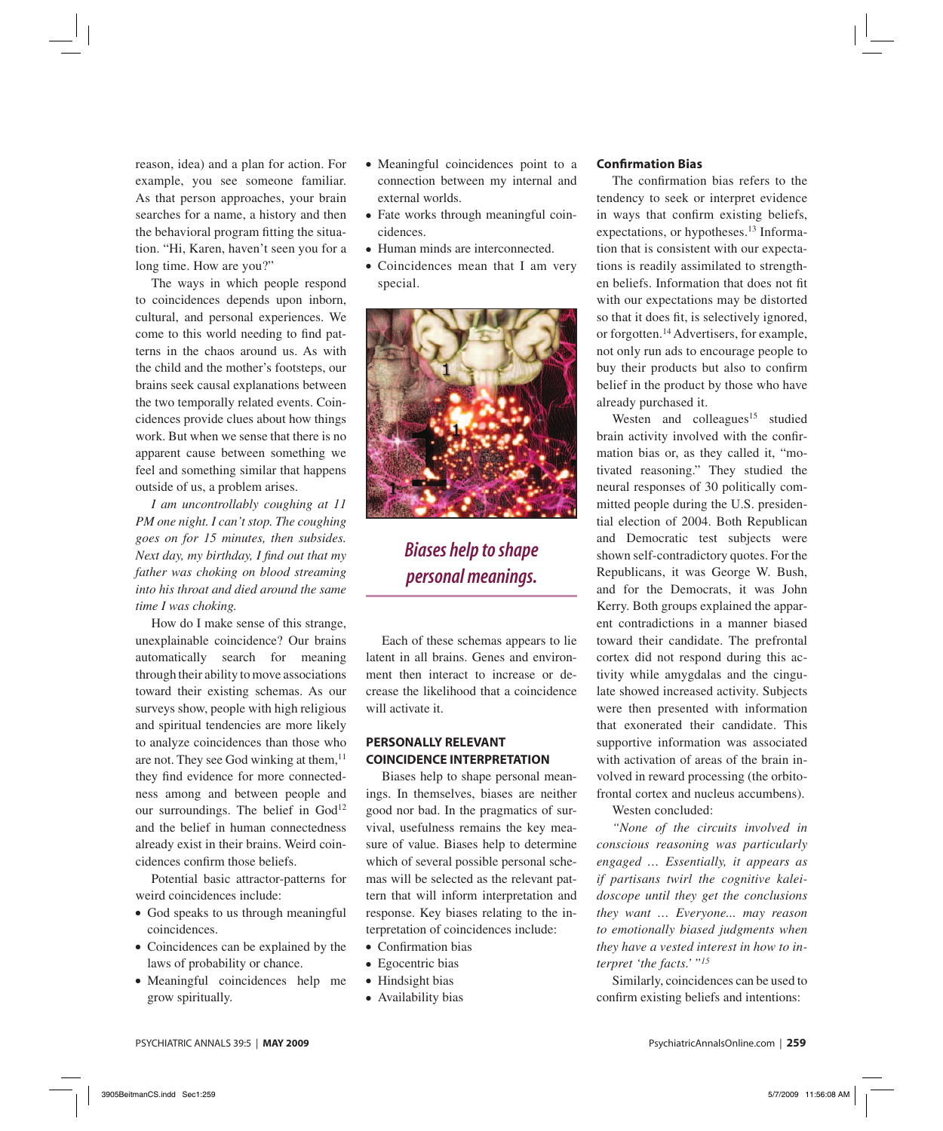reason, idea) and a plan for action. For example, you see someone familiar. As that person approaches, your brain searches for a name, a history and then the behavioral program fitting the situation. "Hi, Karen, haven't seen you for a long time. How are you?"

The ways in which people respond to coincidences depends upon inborn, cultural, and personal experiences. We come to this world needing to find patterns in the chaos around us. As with the child and the mother's footsteps, our brains seek causal explanations between the two temporally related events. Coincidences provide clues about how things work. But when we sense that there is no apparent cause between something we feel and something similar that happens outside of us, a problem arises.

*I am uncontrollably coughing at 11 PM one night. I can't stop. The coughing goes on for 15 minutes, then subsides. Next day, my birthday, I find out that my father was choking on blood streaming into his throat and died around the same time I was choking.*

How do I make sense of this strange, unexplainable coincidence? Our brains automatically search for meaning through their ability to move associations toward their existing schemas. As our surveys show, people with high religious and spiritual tendencies are more likely to analyze coincidences than those who are not. They see God winking at them, $^{11}$ they find evidence for more connectedness among and between people and our surroundings. The belief in  $God<sup>12</sup>$ and the belief in human connectedness already exist in their brains. Weird coincidences confirm those beliefs.

Potential basic attractor-patterns for weird coincidences include:

- God speaks to us through meaningful coincidences.
- Coincidences can be explained by the laws of probability or chance.
- Meaningful coincidences help me grow spiritually.
- Meaningful coincidences point to a connection between my internal and external worlds.
- Fate works through meaningful coincidences.
- Human minds are interconnected.
- Coincidences mean that I am very special.



# *Biases help to shape personal meanings.*

Each of these schemas appears to lie latent in all brains. Genes and environment then interact to increase or decrease the likelihood that a coincidence will activate it.

# **PERSONALLY RELEVANT COINCIDENCE INTERPRETATION**

Biases help to shape personal meanings. In themselves, biases are neither good nor bad. In the pragmatics of survival, usefulness remains the key measure of value. Biases help to determine which of several possible personal schemas will be selected as the relevant pattern that will inform interpretation and response. Key biases relating to the interpretation of coincidences include:

- Confirmation bias
- Egocentric bias
- Hindsight bias
- Availability bias

#### **Confirmation Bias**

The confirmation bias refers to the tendency to seek or interpret evidence in ways that confirm existing beliefs, expectations, or hypotheses.<sup>13</sup> Information that is consistent with our expectations is readily assimilated to strengthen beliefs. Information that does not fit with our expectations may be distorted so that it does fit, is selectively ignored, or forgotten.<sup>14</sup> Advertisers, for example, not only run ads to encourage people to buy their products but also to confirm belief in the product by those who have already purchased it.

Westen and colleagues<sup>15</sup> studied brain activity involved with the confirmation bias or, as they called it, "motivated reasoning." They studied the neural responses of 30 politically committed people during the U.S. presidential election of 2004. Both Republican and Democratic test subjects were shown self-contradictory quotes. For the Republicans, it was George W. Bush, and for the Democrats, it was John Kerry. Both groups explained the apparent contradictions in a manner biased toward their candidate. The prefrontal cortex did not respond during this activity while amygdalas and the cingulate showed increased activity. Subjects were then presented with information that exonerated their candidate. This supportive information was associated with activation of areas of the brain involved in reward processing (the orbitofrontal cortex and nucleus accumbens).

Westen concluded:

*"None of the circuits involved in conscious reasoning was particularly engaged … Essentially, it appears as if partisans twirl the cognitive kaleidoscope until they get the conclusions they want … Everyone... may reason to emotionally biased judgments when they have a vested interest in how to interpret 'the facts.' "15*

Similarly, coincidences can be used to confirm existing beliefs and intentions: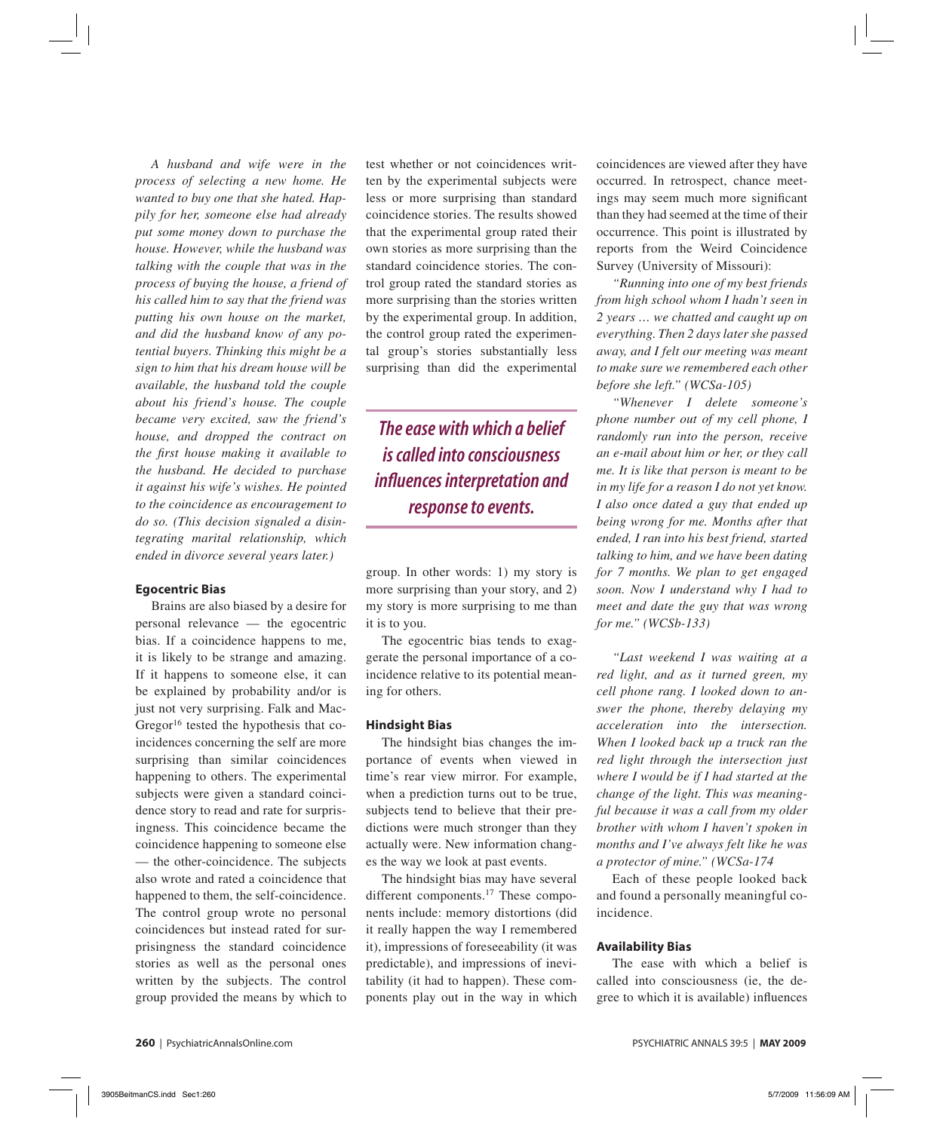*A husband and wife were in the process of selecting a new home. He wanted to buy one that she hated. Happily for her, someone else had already put some money down to purchase the house. However, while the husband was talking with the couple that was in the process of buying the house, a friend of his called him to say that the friend was putting his own house on the market, and did the husband know of any potential buyers. Thinking this might be a sign to him that his dream house will be available, the husband told the couple about his friend's house. The couple became very excited, saw the friend's house, and dropped the contract on the first house making it available to the husband. He decided to purchase it against his wife's wishes. He pointed to the coincidence as encouragement to do so. (This decision signaled a disintegrating marital relationship, which ended in divorce several years later.)*

#### **Egocentric Bias**

Brains are also biased by a desire for personal relevance — the egocentric bias. If a coincidence happens to me, it is likely to be strange and amazing. If it happens to someone else, it can be explained by probability and/or is just not very surprising. Falk and Mac-Gregor $16$  tested the hypothesis that coincidences concerning the self are more surprising than similar coincidences happening to others. The experimental subjects were given a standard coincidence story to read and rate for surprisingness. This coincidence became the coincidence happening to someone else — the other-coincidence. The subjects also wrote and rated a coincidence that happened to them, the self-coincidence. The control group wrote no personal coincidences but instead rated for surprisingness the standard coincidence stories as well as the personal ones written by the subjects. The control group provided the means by which to

test whether or not coincidences written by the experimental subjects were less or more surprising than standard coincidence stories. The results showed that the experimental group rated their own stories as more surprising than the standard coincidence stories. The control group rated the standard stories as more surprising than the stories written by the experimental group. In addition, the control group rated the experimental group's stories substantially less surprising than did the experimental

*The ease with which a belief is called into consciousness infl uences interpretation and response to events.*

group. In other words: 1) my story is more surprising than your story, and 2) my story is more surprising to me than it is to you.

The egocentric bias tends to exaggerate the personal importance of a coincidence relative to its potential meaning for others.

#### **Hindsight Bias**

The hindsight bias changes the importance of events when viewed in time's rear view mirror. For example, when a prediction turns out to be true, subjects tend to believe that their predictions were much stronger than they actually were. New information changes the way we look at past events.

The hindsight bias may have several different components.<sup>17</sup> These components include: memory distortions (did it really happen the way I remembered it), impressions of foreseeability (it was predictable), and impressions of inevitability (it had to happen). These components play out in the way in which

coincidences are viewed after they have occurred. In retrospect, chance meetings may seem much more significant than they had seemed at the time of their occurrence. This point is illustrated by reports from the Weird Coincidence Survey (University of Missouri):

*"Running into one of my best friends from high school whom I hadn't seen in 2 years … we chatted and caught up on everything. Then 2 days later she passed away, and I felt our meeting was meant to make sure we remembered each other before she left." (WCSa-105)*

*"Whenever I delete someone's phone number out of my cell phone, I randomly run into the person, receive an e-mail about him or her, or they call me. It is like that person is meant to be in my life for a reason I do not yet know. I also once dated a guy that ended up being wrong for me. Months after that ended, I ran into his best friend, started talking to him, and we have been dating for 7 months. We plan to get engaged soon. Now I understand why I had to meet and date the guy that was wrong for me." (WCSb-133)*

*"Last weekend I was waiting at a red light, and as it turned green, my cell phone rang. I looked down to answer the phone, thereby delaying my acceleration into the intersection. When I looked back up a truck ran the red light through the intersection just where I would be if I had started at the change of the light. This was meaningful because it was a call from my older brother with whom I haven't spoken in months and I've always felt like he was a protector of mine." (WCSa-174*

Each of these people looked back and found a personally meaningful coincidence.

#### **Availability Bias**

The ease with which a belief is called into consciousness (ie, the degree to which it is available) influences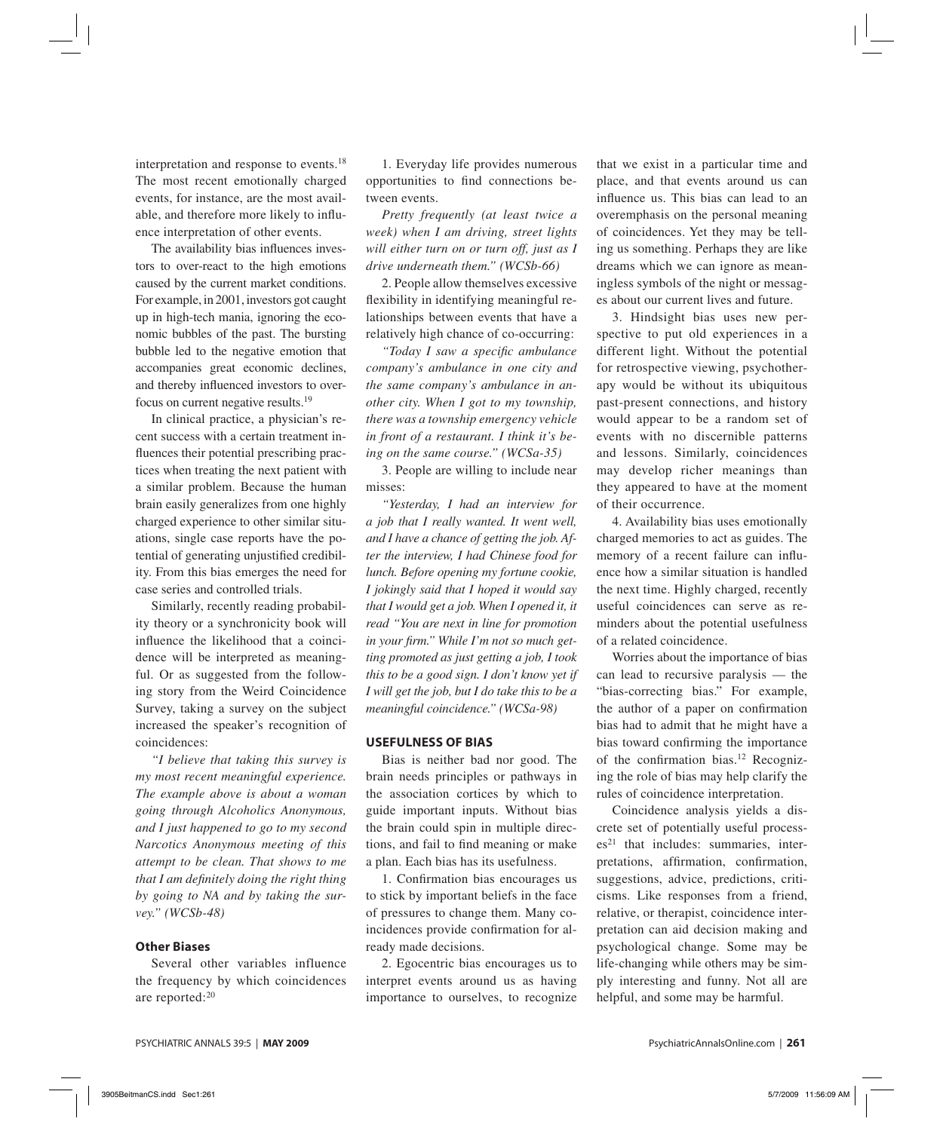interpretation and response to events.18 The most recent emotionally charged events, for instance, are the most available, and therefore more likely to influence interpretation of other events.

The availability bias influences investors to over-react to the high emotions caused by the current market conditions. For example, in 2001, investors got caught up in high-tech mania, ignoring the economic bubbles of the past. The bursting bubble led to the negative emotion that accompanies great economic declines, and thereby influenced investors to overfocus on current negative results.19

In clinical practice, a physician's recent success with a certain treatment influences their potential prescribing practices when treating the next patient with a similar problem. Because the human brain easily generalizes from one highly charged experience to other similar situations, single case reports have the potential of generating unjustified credibility. From this bias emerges the need for case series and controlled trials.

Similarly, recently reading probability theory or a synchronicity book will influence the likelihood that a coincidence will be interpreted as meaningful. Or as suggested from the following story from the Weird Coincidence Survey, taking a survey on the subject increased the speaker's recognition of coincidences:

*"I believe that taking this survey is my most recent meaningful experience. The example above is about a woman going through Alcoholics Anonymous, and I just happened to go to my second Narcotics Anonymous meeting of this attempt to be clean. That shows to me that I am definitely doing the right thing by going to NA and by taking the survey." (WCSb-48)*

#### **Other Biases**

Several other variables influence the frequency by which coincidences are reported:20

1. Everyday life provides numerous opportunities to find connections between events.

*Pretty frequently (at least twice a week) when I am driving, street lights will either turn on or turn off, just as I drive underneath them." (WCSb-66)*

2. People allow themselves excessive flexibility in identifying meaningful relationships between events that have a relatively high chance of co-occurring:

*"Today I saw a specifi c ambulance company's ambulance in one city and the same company's ambulance in another city. When I got to my township, there was a township emergency vehicle in front of a restaurant. I think it's being on the same course." (WCSa-35)*

3. People are willing to include near misses:

*"Yesterday, I had an interview for a job that I really wanted. It went well, and I have a chance of getting the job. After the interview, I had Chinese food for lunch. Before opening my fortune cookie, I jokingly said that I hoped it would say that I would get a job. When I opened it, it read "You are next in line for promotion*  in your firm." While I'm not so much get*ting promoted as just getting a job, I took this to be a good sign. I don't know yet if I will get the job, but I do take this to be a meaningful coincidence." (WCSa-98)*

#### **USEFULNESS OF BIAS**

Bias is neither bad nor good. The brain needs principles or pathways in the association cortices by which to guide important inputs. Without bias the brain could spin in multiple directions, and fail to find meaning or make a plan. Each bias has its usefulness.

1. Confirmation bias encourages us to stick by important beliefs in the face of pressures to change them. Many coincidences provide confirmation for already made decisions.

2. Egocentric bias encourages us to interpret events around us as having importance to ourselves, to recognize that we exist in a particular time and place, and that events around us can influence us. This bias can lead to an overemphasis on the personal meaning of coincidences. Yet they may be telling us something. Perhaps they are like dreams which we can ignore as meaningless symbols of the night or messages about our current lives and future.

3. Hindsight bias uses new perspective to put old experiences in a different light. Without the potential for retrospective viewing, psychotherapy would be without its ubiquitous past-present connections, and history would appear to be a random set of events with no discernible patterns and lessons. Similarly, coincidences may develop richer meanings than they appeared to have at the moment of their occurrence.

4. Availability bias uses emotionally charged memories to act as guides. The memory of a recent failure can influence how a similar situation is handled the next time. Highly charged, recently useful coincidences can serve as reminders about the potential usefulness of a related coincidence.

Worries about the importance of bias can lead to recursive paralysis — the "bias-correcting bias." For example, the author of a paper on confirmation bias had to admit that he might have a bias toward confirming the importance of the confirmation bias.<sup>12</sup> Recognizing the role of bias may help clarify the rules of coincidence interpretation.

Coincidence analysis yields a discrete set of potentially useful process $es<sup>21</sup>$  that includes: summaries, interpretations, affirmation, confirmation, suggestions, advice, predictions, criticisms. Like responses from a friend, relative, or therapist, coincidence interpretation can aid decision making and psychological change. Some may be life-changing while others may be simply interesting and funny. Not all are helpful, and some may be harmful.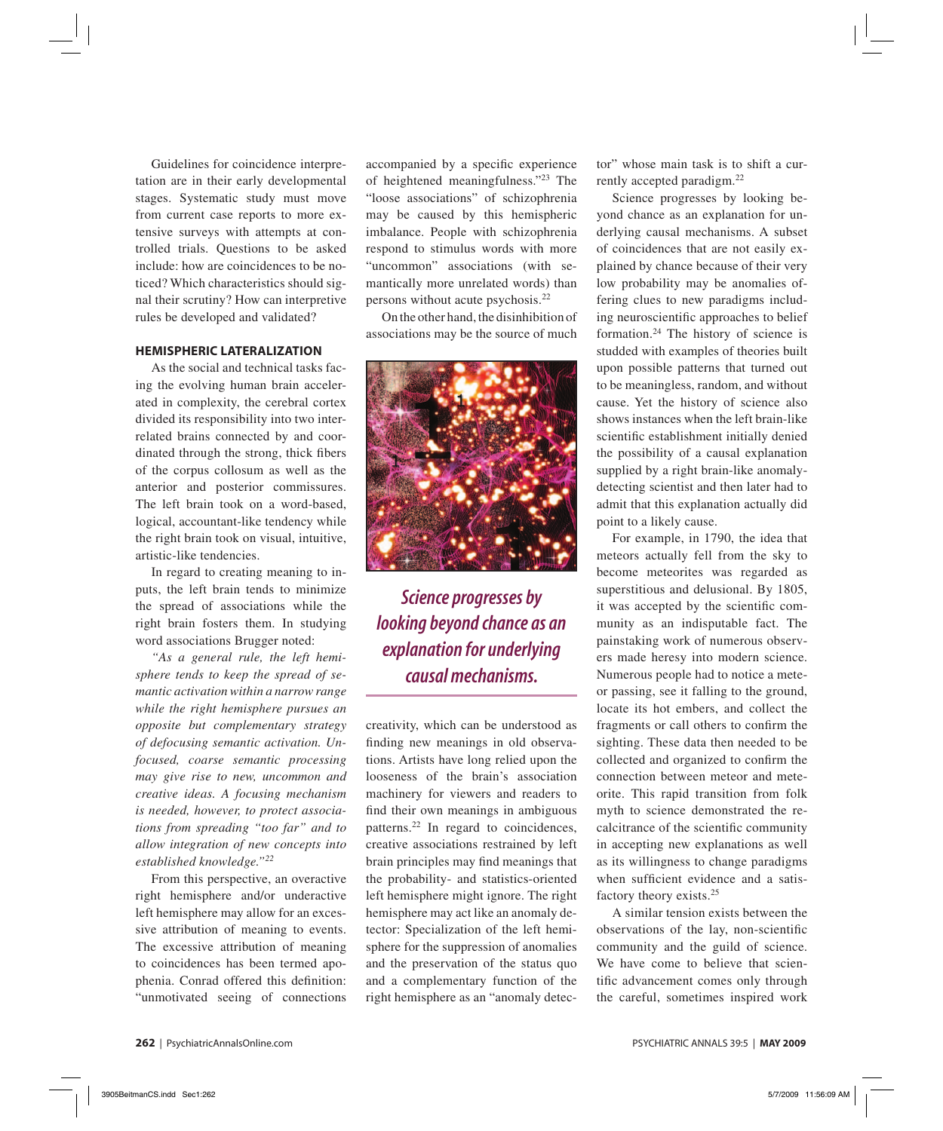Guidelines for coincidence interpretation are in their early developmental stages. Systematic study must move from current case reports to more extensive surveys with attempts at controlled trials. Questions to be asked include: how are coincidences to be noticed? Which characteristics should signal their scrutiny? How can interpretive rules be developed and validated?

#### **HEMISPHERIC LATERALIZATION**

As the social and technical tasks facing the evolving human brain accelerated in complexity, the cerebral cortex divided its responsibility into two interrelated brains connected by and coordinated through the strong, thick fibers of the corpus collosum as well as the anterior and posterior commissures. The left brain took on a word-based, logical, accountant-like tendency while the right brain took on visual, intuitive, artistic-like tendencies.

In regard to creating meaning to inputs, the left brain tends to minimize the spread of associations while the right brain fosters them. In studying word associations Brugger noted:

*"As a general rule, the left hemisphere tends to keep the spread of semantic activation within a narrow range while the right hemisphere pursues an opposite but complementary strategy of defocusing semantic activation. Unfocused, coarse semantic processing may give rise to new, uncommon and creative ideas. A focusing mechanism is needed, however, to protect associations from spreading "too far" and to allow integration of new concepts into established knowledge."22*

From this perspective, an overactive right hemisphere and/or underactive left hemisphere may allow for an excessive attribution of meaning to events. The excessive attribution of meaning to coincidences has been termed apophenia. Conrad offered this definition: "unmotivated seeing of connections

accompanied by a specific experience of heightened meaningfulness."23 The "loose associations" of schizophrenia may be caused by this hemispheric imbalance. People with schizophrenia respond to stimulus words with more "uncommon" associations (with semantically more unrelated words) than persons without acute psychosis.22

On the other hand, the disinhibition of associations may be the source of much



*Science progresses by looking beyond chance as an explanation for underlying causal mechanisms.*

creativity, which can be understood as finding new meanings in old observations. Artists have long relied upon the looseness of the brain's association machinery for viewers and readers to find their own meanings in ambiguous patterns.22 In regard to coincidences, creative associations restrained by left brain principles may find meanings that the probability- and statistics-oriented left hemisphere might ignore. The right hemisphere may act like an anomaly detector: Specialization of the left hemisphere for the suppression of anomalies and the preservation of the status quo and a complementary function of the right hemisphere as an "anomaly detec-

tor" whose main task is to shift a currently accepted paradigm.22

Science progresses by looking beyond chance as an explanation for underlying causal mechanisms. A subset of coincidences that are not easily explained by chance because of their very low probability may be anomalies offering clues to new paradigms including neuroscientific approaches to belief formation.24 The history of science is studded with examples of theories built upon possible patterns that turned out to be meaningless, random, and without cause. Yet the history of science also shows instances when the left brain-like scientific establishment initially denied the possibility of a causal explanation supplied by a right brain-like anomalydetecting scientist and then later had to admit that this explanation actually did point to a likely cause.

For example, in 1790, the idea that meteors actually fell from the sky to become meteorites was regarded as superstitious and delusional. By 1805, it was accepted by the scientific community as an indisputable fact. The painstaking work of numerous observers made heresy into modern science. Numerous people had to notice a meteor passing, see it falling to the ground, locate its hot embers, and collect the fragments or call others to confirm the sighting. These data then needed to be collected and organized to confirm the connection between meteor and meteorite. This rapid transition from folk myth to science demonstrated the recalcitrance of the scientific community in accepting new explanations as well as its willingness to change paradigms when sufficient evidence and a satisfactory theory exists.25

A similar tension exists between the observations of the lay, non-scientific community and the guild of science. We have come to believe that scientific advancement comes only through the careful, sometimes inspired work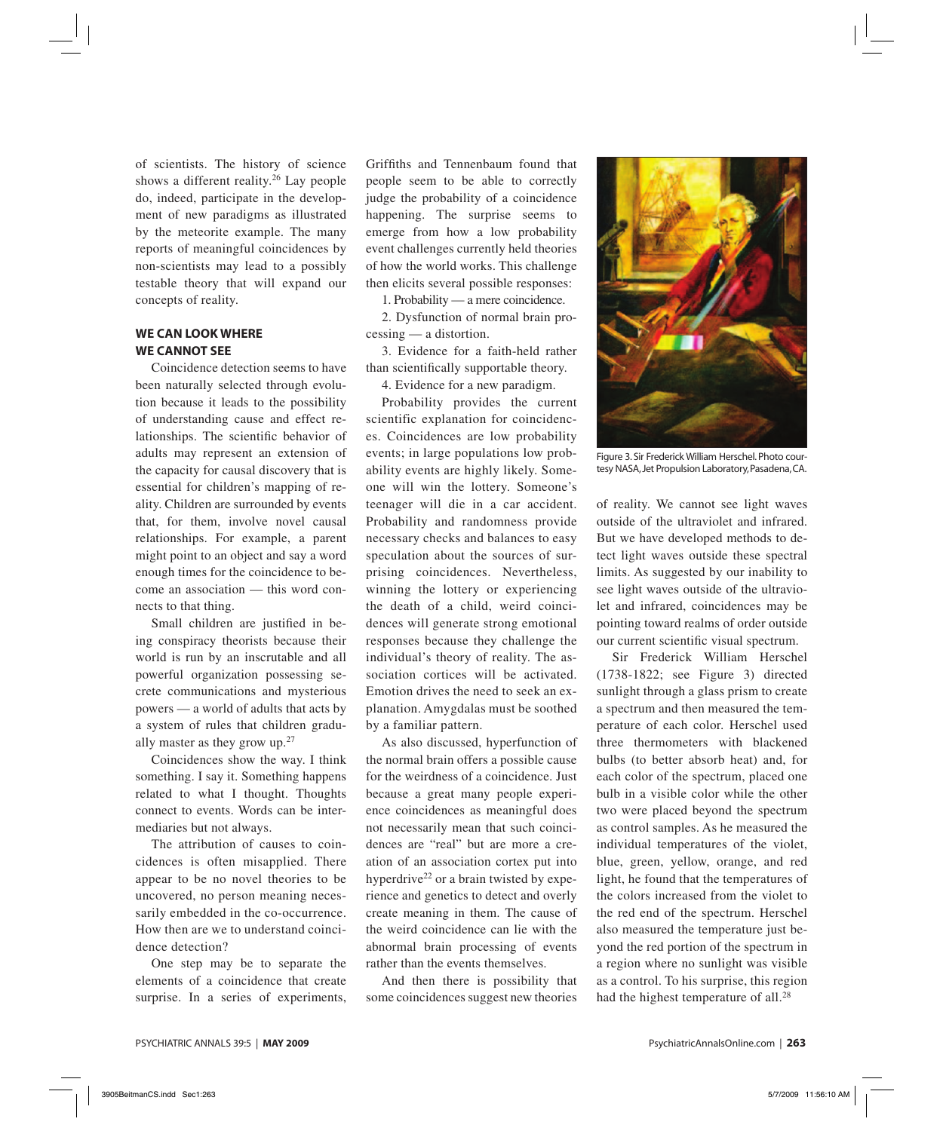of scientists. The history of science shows a different reality.<sup>26</sup> Lay people do, indeed, participate in the development of new paradigms as illustrated by the meteorite example. The many reports of meaningful coincidences by non-scientists may lead to a possibly testable theory that will expand our concepts of reality.

### **WE CAN LOOK WHERE WE CANNOT SEE**

Coincidence detection seems to have been naturally selected through evolution because it leads to the possibility of understanding cause and effect relationships. The scientific behavior of adults may represent an extension of the capacity for causal discovery that is essential for children's mapping of reality. Children are surrounded by events that, for them, involve novel causal relationships. For example, a parent might point to an object and say a word enough times for the coincidence to become an association — this word connects to that thing.

Small children are justified in being conspiracy theorists because their world is run by an inscrutable and all powerful organization possessing secrete communications and mysterious powers — a world of adults that acts by a system of rules that children gradually master as they grow up.27

Coincidences show the way. I think something. I say it. Something happens related to what I thought. Thoughts connect to events. Words can be intermediaries but not always.

The attribution of causes to coincidences is often misapplied. There appear to be no novel theories to be uncovered, no person meaning necessarily embedded in the co-occurrence. How then are we to understand coincidence detection?

One step may be to separate the elements of a coincidence that create surprise. In a series of experiments,

Griffiths and Tennenbaum found that people seem to be able to correctly judge the probability of a coincidence happening. The surprise seems to emerge from how a low probability event challenges currently held theories of how the world works. This challenge then elicits several possible responses:

1. Probability — a mere coincidence.

2. Dysfunction of normal brain processing — a distortion.

3. Evidence for a faith-held rather than scientifically supportable theory.

4. Evidence for a new paradigm.

Probability provides the current scientific explanation for coincidences. Coincidences are low probability events; in large populations low probability events are highly likely. Someone will win the lottery. Someone's teenager will die in a car accident. Probability and randomness provide necessary checks and balances to easy speculation about the sources of surprising coincidences. Nevertheless, winning the lottery or experiencing the death of a child, weird coincidences will generate strong emotional responses because they challenge the individual's theory of reality. The association cortices will be activated. Emotion drives the need to seek an explanation. Amygdalas must be soothed by a familiar pattern.

As also discussed, hyperfunction of the normal brain offers a possible cause for the weirdness of a coincidence. Just because a great many people experience coincidences as meaningful does not necessarily mean that such coincidences are "real" but are more a creation of an association cortex put into hyperdrive<sup>22</sup> or a brain twisted by experience and genetics to detect and overly create meaning in them. The cause of the weird coincidence can lie with the abnormal brain processing of events rather than the events themselves.

And then there is possibility that some coincidences suggest new theories



Figure 3. Sir Frederick William Herschel. Photo courtesy NASA, Jet Propulsion Laboratory, Pasadena, CA.

of reality. We cannot see light waves outside of the ultraviolet and infrared. But we have developed methods to detect light waves outside these spectral limits. As suggested by our inability to see light waves outside of the ultraviolet and infrared, coincidences may be pointing toward realms of order outside our current scientific visual spectrum.

Sir Frederick William Herschel (1738-1822; see Figure 3) directed sunlight through a glass prism to create a spectrum and then measured the temperature of each color. Herschel used three thermometers with blackened bulbs (to better absorb heat) and, for each color of the spectrum, placed one bulb in a visible color while the other two were placed beyond the spectrum as control samples. As he measured the individual temperatures of the violet, blue, green, yellow, orange, and red light, he found that the temperatures of the colors increased from the violet to the red end of the spectrum. Herschel also measured the temperature just beyond the red portion of the spectrum in a region where no sunlight was visible as a control. To his surprise, this region had the highest temperature of all.<sup>28</sup>